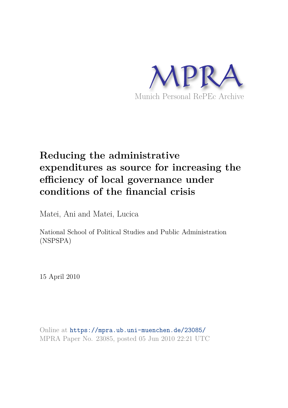

# **Reducing the administrative expenditures as source for increasing the efficiency of local governance under conditions of the financial crisis**

Matei, Ani and Matei, Lucica

National School of Political Studies and Public Administration (NSPSPA)

15 April 2010

Online at https://mpra.ub.uni-muenchen.de/23085/ MPRA Paper No. 23085, posted 05 Jun 2010 22:21 UTC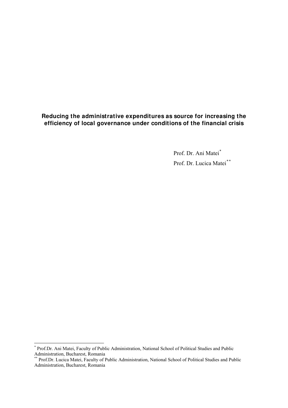# **Reducing the administrative expenditures as source for increasing the efficiency of local governance under conditions of the financial crisis**

Prof. Dr. Ani Matei[\\*](#page-1-0) Prof. Dr. Lucica Matei<sup>[\\*\\*](#page-1-1)</sup>

<span id="page-1-0"></span> \* Prof.Dr. Ani Matei, Faculty of Public Administration, National School of Political Studies and Public Administration, Bucharest, Romania

<span id="page-1-1"></span><sup>\*\*</sup> Prof.Dr. Lucica Matei, Faculty of Public Administration, National School of Political Studies and Public Administration, Bucharest, Romania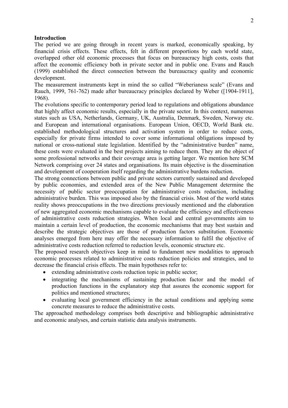#### **Introduction**

The period we are going through in recent years is marked, economically speaking, by financial crisis effects. These effects, felt in different proportions by each world state, overlapped other old economic processes that focus on bureaucracy high costs, costs that affect the economic efficiency both in private sector and in public one. Evans and Rauch (1999) established the direct connection between the bureaucracy quality and economic development.

The measurement instruments kept in mind the so called "Weberianess scale" (Evans and Rauch, 1999, 761-762) made after bureaucracy principles declared by Weber ([1904-1911], 1968).

The evolutions specific to contemporary period lead to regulations and obligations abundance that highly affect economic results, especially in the private sector. In this context, numerous states such as USA, Netherlands, Germany, UK, Australia, Denmark, Sweden, Norway etc. and European and international organisations. European Union, OECD, World Bank etc. established methodological structures and activation system in order to reduce costs, especially for private firms intended to cover some informational obligations imposed by national or cross-national state legislation. Identified by the "administrative burden" name, these costs were evaluated in the best projects aiming to reduce them. They are the object of some professional networks and their coverage area is getting larger. We mention here SCM Network comprising over 24 states and organisations. Its main objective is the dissemination and development of cooperation itself regarding the administrative burdens reduction.

The strong connections between public and private sectors currently sustained and developed by public economies, and extended area of the New Public Management determine the necessity of public sector preoccupation for administrative costs reduction, including administrative burden. This was imposed also by the financial crisis. Most of the world states reality shows preoccupations in the two directions previously mentioned and the elaboration of new aggregated economic mechanisms capable to evaluate the efficiency and effectiveness of administrative costs reduction strategies. When local and central governments aim to maintain a certain level of production, the economic mechanisms that may best sustain and describe the strategic objectives are those of production factors substitution. Economic analyses emerged from here may offer the necessary information to fulfil the objective of administrative costs reduction referred to reduction levels, economic structure etc.

The proposed research objectives keep in mind to fundament new modalities to approach economic processes related to administrative costs reduction policies and strategies, and to decrease the financial crisis effects. The main hypotheses refer to:

- extending administrative costs reduction topic in public sector;
- integrating the mechanisms of sustaining production factor and the model of production functions in the explanatory step that assures the economic support for politics and mentioned structures;
- evaluating local government efficiency in the actual conditions and applying some concrete measures to reduce the administrative costs.

The approached methodology comprises both descriptive and bibliographic administrative and economic analyses, and certain statistic data analysis instruments.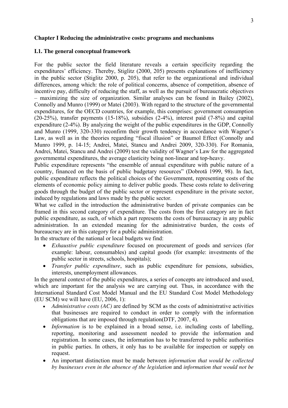#### **Chapter I Reducing the administrative costs: programs and mechanisms**

#### **I.1. The general conceptual framework**

For the public sector the field literature reveals a certain specificity regarding the expenditures' efficiency. Thereby, Stiglitz (2000, 205) presents explanations of inefficiency in the public sector (Stiglitz 2000, p. 205), that refer to the organizational and individual differences, among which: the role of political concerns, absence of competition, absence of incentive pay, difficulty of reducing the staff, as well as the pursuit of bureaucratic objectives – maximizing the size of organization. Similar analyses can be found in Bailey (2002), Connolly and Munro (1999) or Matei (2003). With regard to the structure of the governmental expenditures, for the OECD countries, for example, this comprises: government consumption (20-25%), transfer payments (15-18%), subsidies (2-4%), interest paid (7-8%) and capital expenditure (2-4%). By analyzing the weight of the public expenditures in the GDP, Connolly and Munro (1999, 320-330) reconfirm their growth tendency in accordance with Wagner's Law, as well as in the theories regarding "fiscal illusion" or Baumol Effect (Connolly and Munro 1999, p. 14-15; Andrei, Matei, Stancu and Andrei 2009, 320-330). For Romania, Andrei, Matei, Stancu and Andrei (2009) test the validity of Wagner's Law for the aggregated governmental expenditures, the average elasticity being non-linear and top-heavy.

Public expenditure represents "the ensemble of annual expenditure with public nature of a country, financed on the basis of public budgetary resources" (Dobrotă 1999, 98). In fact, public expenditure reflects the political choices of the Government, representing costs of the elements of economic policy aiming to deliver public goods. These costs relate to delivering goods through the budget of the public sector or represent expenditure in the private sector, induced by regulations and laws made by the public sector.

What we called in the introduction the administrative burden of private companies can be framed in this second category of expenditure. The costs from the first category are in fact public expenditure, as such, of which a part represents the costs of bureaucracy in any public administration. In an extended meaning for the administrative burden, the costs of bureaucracy are in this category for a public administration.

In the structure of the national or local budgets we find:

- *Exhaustive public expenditure* focused on procurement of goods and services (for example: labour, consumables) and capital goods (for example: investments of the public sector in streets, schools, hospitals);
- *Transfer public expenditure*, such as public expenditure for pensions, subsidies, interests, unemployment allowances.

In the general context of the public expenditures, a series of concepts are introduced and used, which are important for the analysis we are carrying out. Thus, in accordance with the International Standard Cost Model Manual and the EU Standard Cost Model Methodology  $(EU$  SCM) we will have  $(EU, 2006, 1)$ :

- *Administrative costs (AC)* are defined by SCM as the costs of administrative activities that businesses are required to conduct in order to comply with the information obligations that are imposed through regulation(DTF, 2007, 4).
- *Information* is to be explained in a broad sense, i.e. including costs of labelling, reporting, monitoring and assessment needed to provide the information and registration. In some cases, the information has to be transferred to public authorities in public parties. In others, it only has to be available for inspection or supply on request.
- An important distinction must be made between *information that would be collected by businesses even in the absence of the legislation* and *information that would not be*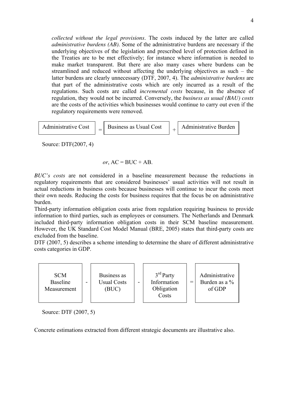*collected without the legal provisions*. The costs induced by the latter are called *administrative burdens (AB)*. Some of the administrative burdens are necessary if the underlying objectives of the legislation and prescribed level of protection defined in the Treaties are to be met effectively; for instance where information is needed to make market transparent. But there are also many cases where burdens can be streamlined and reduced without affecting the underlying objectives as such – the latter burdens are clearly unnecessary (DTF, 2007, 4). The *administrative burdens* are that part of the administrative costs which are only incurred as a result of the regulations. Such costs are called *incremental costs* because, in the absence of regulation, they would not be incurred. Conversely, the *business as usual (BAU) costs*  are the costs of the activities which businesses would continue to carry out even if the regulatory requirements were removed.

$$
[Administative Cost] = [Business as Usual Cost] + [Administative Burden]
$$

Source: DTF(2007, 4)

or, 
$$
AC = BUC + AB
$$
.

*BUC's costs* are not considered in a baseline measurement because the reductions in regulatory requirements that are considered businesses' usual activities will not result in actual reductions in business costs because businesses will continue to incur the costs meet their own needs. Reducing the costs for business requires that the focus be on administrative burden.

Third-party information obligation costs arise from regulation requiring business to provide information to third parties, such as employees or consumers. The Netherlands and Denmark included third-party information obligation costs in their SCM baseline measurement. However, the UK Standard Cost Model Manual (BRE, 2005) states that third-party costs are excluded from the baseline.

DTF (2007, 5) describes a scheme intending to determine the share of different administrative costs categories in GDP.



Source: DTF (2007, 5)

Concrete estimations extracted from different strategic documents are illustrative also.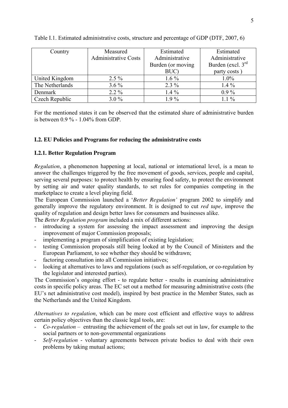| Country         | Measured                    | Estimated         | Estimated           |  |  |
|-----------------|-----------------------------|-------------------|---------------------|--|--|
|                 | <b>Administrative Costs</b> | Administrative    | Administrative      |  |  |
|                 |                             | Burden (or moving | Burden (excl. $3rd$ |  |  |
|                 |                             | BUC)              | party costs)        |  |  |
| United Kingdom  | $2.5\%$                     | $1.6\%$           | 1.0%                |  |  |
| The Netherlands | $3.6\%$                     | $2.3\%$           | $1.4\%$             |  |  |
| Denmark         | $2.2\%$                     | $1.4\%$           | $0.9\%$             |  |  |
| Czech Republic  | $3.0\%$                     | $1.9\%$           | $1.1\%$             |  |  |

## Table I.1. Estimated administrative costs, structure and percentage of GDP (DTF, 2007, 6)

For the mentioned states it can be observed that the estimated share of administrative burden is between 0.9 % - 1.04% from GDP.

## **I.2. EU Policies and Programs for reducing the administrative costs**

## **I.2.1. Better Regulation Program**

*Regulation*, a phenomenon happening at local, national or international level, is a mean to answer the challenges triggered by the free movement of goods, services, people and capital, serving several purposes: to protect health by ensuring food safety, to protect the environment by setting air and water quality standards, to set rules for companies competing in the marketplace to create a level playing field.

The European Commission launched a '*Better Regulation'* program 2002 to simplify and generally improve the regulatory environment. It is designed to cut *red tape*, improve the quality of regulation and design better laws for consumers and businesses alike.

The *Better Regulation program* included a mix of different actions:

- introducing a system for assessing the impact assessment and improving the design improvement of major Commission proposals;
- implementing a program of simplification of existing legislation;
- testing Commission proposals still being looked at by the Council of Ministers and the European Parliament, to see whether they should be withdrawn;
- factoring consultation into all Commission initiatives;
- looking at alternatives to laws and regulations (such as self-regulation, or co-regulation by the legislator and interested parties).

The Commission's ongoing effort - to regulate better - results in examining administrative costs in specific policy areas. The EC set out a method for measuring administrative costs (the EU's net administrative cost model), inspired by best practice in the Member States, such as the Netherlands and the United Kingdom.

*Alternatives to regulation*, which can be more cost efficient and effective ways to address certain policy objectives than the classic legal tools, are:

- *Co-regulation* entrusting the achievement of the goals set out in law, for example to the social partners or to non-governmental organizations
- *Self-regulation* voluntary agreements between private bodies to deal with their own problems by taking mutual actions;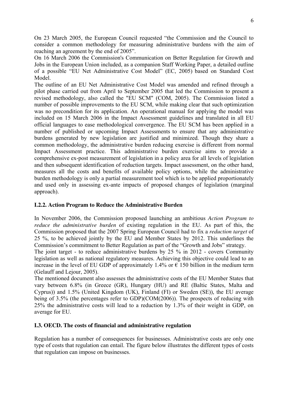On 23 March 2005, the European Council requested "the Commission and the Council to consider a common methodology for measuring administrative burdens with the aim of reaching an agreement by the end of 2005".

On 16 March 2006 the Commission's Communication on Better Regulation for Growth and Jobs in the European Union included, as a companion Staff Working Paper, a detailed outline of a possible "EU Net Administrative Cost Model" (EC, 2005) based on Standard Cost Model.

The outline of an EU Net Administrative Cost Model was amended and refined through a pilot phase carried out from April to September 2005 that led the Commission to present a revised methodology, also called the "EU SCM" (COM, 2005). The Commission listed a number of possible improvements to the EU SCM, while making clear that such optimization was no precondition for its application. An operational manual for applying the model was included on 15 March 2006 in the Impact Assessment guidelines and translated in all EU official languages to ease methodological convergence. The EU SCM has been applied in a number of published or upcoming Impact Assessments to ensure that any administrative burdens generated by new legislation are justified and minimized. Though they share a common methodology, the administrative burden reducing exercise is different from normal Impact Assessment practice. This administrative burden exercise aims to provide a comprehensive ex-post measurement of legislation in a policy area for all levels of legislation and then subsequent identification of reduction targets. Impact assessment, on the other hand, measures all the costs and benefits of available policy options, while the administrative burden methodology is only a partial measurement tool which is to be applied proportionately and used only in assessing ex-ante impacts of proposed changes of legislation (marginal approach).

## **I.2.2. Action Program to Reduce the Administrative Burden**

In November 2006, the Commission proposed launching an ambitious *Action Program to reduce the administrative burden* of existing regulation in the EU. As part of this, the Commission proposed that the 2007 Spring European Council had to fix a *reduction target* of 25 %, to be achieved jointly by the EU and Member States by 2012. This underlines the Commission's commitment to Better Regulation as part of the "Growth and Jobs" strategy.

The joint target - to reduce administrative burdens by 25 % in 2012 - covers Community legislation as well as national regulatory measures. Achieving this objective could lead to an increase in the level of EU GDP of approximately 1.4% or  $\epsilon$  150 billion in the medium term (Gelauff and Lejour, 2005).

The mentioned document also assesses the administrative costs of the EU Member States that vary between 6.8% (in Greece (GR), Hungary (HU) and RE (Baltic States, Malta and Cyprus)) and 1.5% (United Kingdom (UK), Finland (FI) or Sweden (SE)), the EU average being of 3.5% (the percentages refer to GDP)(COM(2006)). The prospects of reducing with 25% the administrative costs will lead to a reduction by 1.3% of their weight in GDP, on average for EU.

## **I.3. OECD. The costs of financial and administrative regulation**

Regulation has a number of consequences for businesses. Administrative costs are only one type of costs that regulation can entail. The figure below illustrates the different types of costs that regulation can impose on businesses.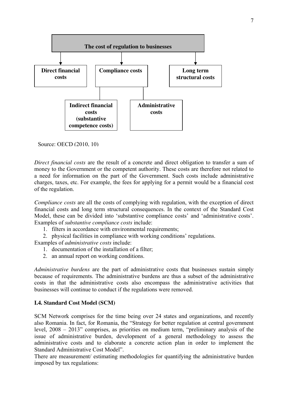

Source: OECD (2010, 10)

*Direct financial costs* are the result of a concrete and direct obligation to transfer a sum of money to the Government or the competent authority. These costs are therefore not related to a need for information on the part of the Government. Such costs include administrative charges, taxes, etc. For example, the fees for applying for a permit would be a financial cost of the regulation.

*Compliance costs* are all the costs of complying with regulation, with the exception of direct financial costs and long term structural consequences. In the context of the Standard Cost Model, these can be divided into 'substantive compliance costs' and 'administrative costs'. Examples of *substantive compliance costs* include:

- 1. filters in accordance with environmental requirements;
- 2. physical facilities in compliance with working conditions' regulations.

Examples of *administrative costs* include:

- 1. documentation of the installation of a filter;
- 2. an annual report on working conditions.

*Administrative burdens* are the part of administrative costs that businesses sustain simply because of requirements. The administrative burdens are thus a subset of the administrative costs in that the administrative costs also encompass the administrative activities that businesses will continue to conduct if the regulations were removed.

## **I.4. Standard Cost Model (SCM)**

SCM Network comprises for the time being over 24 states and organizations, and recently also Romania. In fact, for Romania, the "Strategy for better regulation at central government level, 2008 – 2013" comprises, as priorities on medium term, "preliminary analysis of the issue of administrative burden, development of a general methodology to assess the administrative costs and to elaborate a concrete action plan in order to implement the Standard Administrative Cost Model".

There are measurement/ estimating methodologies for quantifying the administrative burden imposed by tax regulations: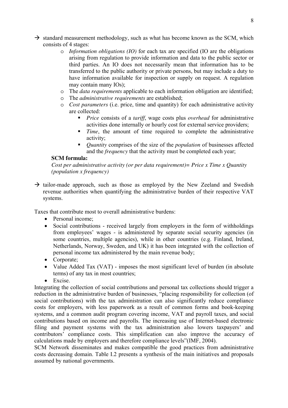- $\rightarrow$  standard measurement methodology, such as what has become known as the SCM, which consists of 4 stages:
	- o *Information obligations (IO)* for each tax are specified (IO are the obligations arising from regulation to provide information and data to the public sector or third parties. An IO does not necessarily mean that information has to be transferred to the public authority or private persons, but may include a duty to have information available for inspection or supply on request. A regulation may contain many IOs);
	- o The *data requirements* applicable to each information obligation are identified;
	- o The *administrative requirements* are established;
	- o *Cost parameters* (i.e. price, time and quantity) for each administrative activity are collected:
		- *Price* consists of a *tariff*, wage costs plus *overhead* for administrative activities done internally or hourly cost for external service providers;
		- *Time*, the amount of time required to complete the administrative activity;
		- *Quantity* comprises of the size of the *population* of businesses affected and the *frequency* that the activity must be completed each year;

## **SCM formula:**

*Cost per administrative activity (or per data requirement)= Price x Time x Quantity (population x frequency)* 

 $\rightarrow$  tailor-made approach, such as those as employed by the New Zeeland and Swedish revenue authorities when quantifying the administrative burden of their respective VAT systems.

Taxes that contribute most to overall administrative burdens:

- Personal income:
- Social contributions received largely from employers in the form of withholdings from employees' wages - is administered by separate social security agencies (in some countries, multiple agencies), while in other countries (e.g. Finland, Ireland, Netherlands, Norway, Sweden, and UK) it has been integrated with the collection of personal income tax administered by the main revenue body;
- Corporate;
- Value Added Tax (VAT) imposes the most significant level of burden (in absolute terms) of any tax in most countries;
- Excise

Integrating the collection of social contributions and personal tax collections should trigger a reduction in the administrative burden of businesses, "placing responsibility for collection (of social contributions) with the tax administration can also significantly reduce compliance costs for employers, with less paperwork as a result of common forms and book-keeping systems, and a common audit program covering income, VAT and payroll taxes, and social contributions based on income and payrolls. The increasing use of Internet-based electronic filing and payment systems with the tax administration also lowers taxpayers' and contributors' compliance costs. This simplification can also improve the accuracy of calculations made by employers and therefore compliance levels"(IMF, 2004).

SCM Network disseminates and makes compatible the good practices from administrative costs decreasing domain. Table I.2 presents a synthesis of the main initiatives and proposals assumed by national governments.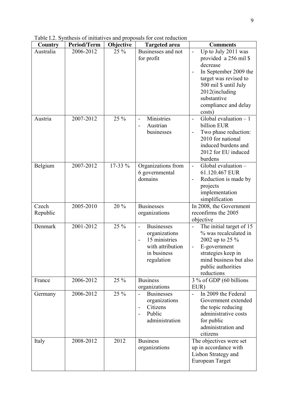Table I.2. Synthesis of initiatives and proposals for cost reduction

| Country   | <b>Period/Term</b> | Objective | <b>Targeted area</b>                      | <b>Comments</b>                                  |  |  |  |  |
|-----------|--------------------|-----------|-------------------------------------------|--------------------------------------------------|--|--|--|--|
| Australia | 2006-2012          | $25\%$    | Businesses and not                        | Up to July 2011 was                              |  |  |  |  |
|           |                    |           | for profit                                | provided a 256 mil \$                            |  |  |  |  |
|           |                    |           |                                           | decrease                                         |  |  |  |  |
|           |                    |           |                                           | In September 2009 the<br>$\blacksquare$          |  |  |  |  |
|           |                    |           |                                           | target was revised to                            |  |  |  |  |
|           |                    |           |                                           | 500 mil \$ until July                            |  |  |  |  |
|           |                    |           |                                           | 2012(including                                   |  |  |  |  |
|           |                    |           |                                           | substantive                                      |  |  |  |  |
|           |                    |           |                                           | compliance and delay                             |  |  |  |  |
|           |                    |           |                                           | costs)                                           |  |  |  |  |
| Austria   | 2007-2012          | 25 %      | Ministries<br>$\blacksquare$              | Global evaluation $-1$                           |  |  |  |  |
|           |                    |           | Austrian                                  | billion EUR                                      |  |  |  |  |
|           |                    |           | businesses                                | Two phase reduction:<br>2010 for national        |  |  |  |  |
|           |                    |           |                                           | induced burdens and                              |  |  |  |  |
|           |                    |           |                                           | 2012 for EU induced                              |  |  |  |  |
|           |                    |           |                                           | burdens                                          |  |  |  |  |
| Belgium   | 2007-2012          | 17-33 %   | Organizations from                        | Global evaluation -<br>$\overline{\phantom{a}}$  |  |  |  |  |
|           |                    |           | 6 governmental                            | 61.120.467 EUR                                   |  |  |  |  |
|           |                    |           | domains                                   | Reduction is made by<br>$\overline{\phantom{a}}$ |  |  |  |  |
|           |                    |           |                                           | projects                                         |  |  |  |  |
|           |                    |           |                                           | implementation                                   |  |  |  |  |
|           |                    |           |                                           | simplification                                   |  |  |  |  |
| Czech     | 2005-2010          | 20 %      | <b>Businesses</b>                         | In 2008, the Government                          |  |  |  |  |
| Republic  |                    |           | organizations                             | reconfirms the 2005                              |  |  |  |  |
|           |                    |           |                                           | objective                                        |  |  |  |  |
| Denmark   | 2001-2012          | 25 %      | <b>Businesses</b>                         | The initial target of 15                         |  |  |  |  |
|           |                    |           | organizations                             | % was recalculated in                            |  |  |  |  |
|           |                    |           | 15 ministries<br>$\overline{\phantom{a}}$ | 2002 up to 25 %                                  |  |  |  |  |
|           |                    |           | with attribution                          | E-government                                     |  |  |  |  |
|           |                    |           | in business                               | strategies keep in<br>mind business but also     |  |  |  |  |
|           |                    |           | regulation                                | public authorities                               |  |  |  |  |
|           |                    |           |                                           | reductions                                       |  |  |  |  |
| France    | 2006-2012          | 25 %      | <b>Business</b>                           | 3 % of GDP (60 billions                          |  |  |  |  |
|           |                    |           | organizations                             | EUR)                                             |  |  |  |  |
| Germany   | 2006-2012          | 25 %      | <b>Businesses</b>                         | In 2009 the Federal<br>$\overline{a}$            |  |  |  |  |
|           |                    |           | organizations                             | Government extended                              |  |  |  |  |
|           |                    |           | Citizens<br>$\overline{\phantom{a}}$      | the topic reducing                               |  |  |  |  |
|           |                    |           | Public                                    | administrative costs                             |  |  |  |  |
|           |                    |           | administration                            | for public                                       |  |  |  |  |
|           |                    |           |                                           | administration and                               |  |  |  |  |
|           |                    |           |                                           | citizens                                         |  |  |  |  |
| Italy     | 2008-2012          | 2012      | <b>Business</b>                           | The objectives were set                          |  |  |  |  |
|           |                    |           | organizations                             | up in accordance with                            |  |  |  |  |
|           |                    |           |                                           | Lisbon Strategy and                              |  |  |  |  |
|           |                    |           |                                           | European Target                                  |  |  |  |  |
|           |                    |           |                                           |                                                  |  |  |  |  |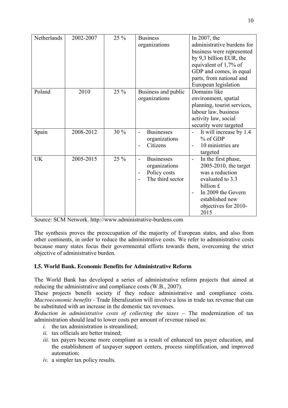| Netherlands | 2002-2007 | 25 % | <b>Business</b>                | In 2007, the                                    |
|-------------|-----------|------|--------------------------------|-------------------------------------------------|
|             |           |      | organizations                  | administrative burdens for                      |
|             |           |      |                                |                                                 |
|             |           |      |                                | business were represented                       |
|             |           |      |                                | by 9,3 billion EUR, the                         |
|             |           |      |                                | equivalent of 1,7% of                           |
|             |           |      |                                | GDP and comes, in equal                         |
|             |           |      |                                | parts, from national and                        |
|             |           |      |                                | European legislation                            |
| Poland      | 2010      | 25 % | Business and public            | Domains like                                    |
|             |           |      | organizations                  | environment, spatial                            |
|             |           |      |                                | planning, tourist services,                     |
|             |           |      |                                | labour law, business                            |
|             |           |      |                                | activity law, social                            |
|             |           |      |                                | security were targeted                          |
|             | 2008-2012 | 30%  | <b>Businesses</b>              |                                                 |
| Spain       |           |      |                                | It will increase by 1.4                         |
|             |           |      | organizations                  | $%$ of GDP                                      |
|             |           |      | Citizens                       | 10 ministries are                               |
|             |           |      |                                | targeted                                        |
| <b>UK</b>   | 2005-2015 | 25 % | <b>Businesses</b>              | In the first phase,<br>$\overline{\phantom{0}}$ |
|             |           |      | organizations                  | 2005-2010, the target                           |
|             |           |      | Policy costs<br>$\blacksquare$ | was a reduction                                 |
|             |           |      | The third sector               | evaluated to 3.3                                |
|             |           |      |                                | billion £                                       |
|             |           |      |                                | In 2009 the Govern<br>$\blacksquare$            |
|             |           |      |                                | established new                                 |
|             |           |      |                                |                                                 |
|             |           |      |                                | objectives for 2010-                            |
|             |           |      |                                | 2015                                            |

Source: SCM Network. http://www.administrative-burdens.com

The synthesis proves the preoccupation of the majority of European states, and also from other continents, in order to reduce the administrative costs. We refer to administrative costs because many states focus their governmental efforts towards them, overcoming the strict objective of administrative burden.

## **I.5. World Bank. Economic Benefits for Administrative Reform**

The World Bank has developed a series of administrative reform projects that aimed at reducing the administrative and compliance costs (W.B., 2007).

These projects benefit society if they reduce administrative and compliance costs. *Macroeconomic benefits -* Trade liberalization will involve a loss in trade tax revenue that can be substituted with an increase in the domestic tax revenues.

*Reduction in administrative costs of collecting the taxes – The modernization of tax* administration should lead to lower costs per amount of revenue raised as:

- *i.* the tax administration is streamlined;
- *ii.* tax officials are better trained;
- *iii.* tax payers become more compliant as a result of enhanced tax payer education, and the establishment of taxpayer support centers, process simplification, and improved automation;
- *iv.* a simpler tax policy results.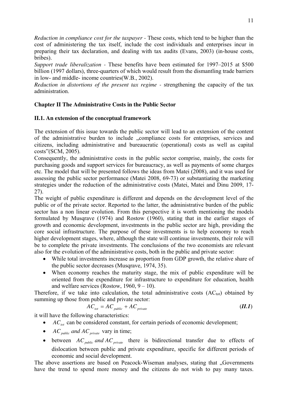*Reduction in compliance cost for the taxpayer -* These costs, which tend to be higher than the cost of administering the tax itself, include the cost individuals and enterprises incur in preparing their tax declaration, and dealing with tax audits (Evans, 2003) (in-house costs, bribes).

*Support trade liberalization -* These benefits have been estimated for 1997–2015 at \$500 billion (1997 dollars), three-quarters of which would result from the dismantling trade barriers in low- and middle- income countries(W.B., 2002).

*Reduction in distortions of the present tax regime - strengthening the capacity of the tax* administration.

## **Chapter II The Administrative Costs in the Public Sector**

## **II.1. An extension of the conceptual framework**

The extension of this issue towards the public sector will lead to an extension of the content of the administrative burden to include "compliance costs for enterprises, services and citizens, including administrative and bureaucratic (operational) costs as well as capital costs"(SCM, 2005).

Consequently, the administrative costs in the public sector comprise, mainly, the costs for purchasing goods and support services for bureaucracy, as well as payments of some charges etc. The model that will be presented follows the ideas from Matei (2008), and it was used for assessing the public sector performance (Matei 2008, 69-73) or substantiating the marketing strategies under the reduction of the administrative costs (Matei, Matei and Dinu 2009, 17- 27).

The weight of public expenditure is different and depends on the development level of the public or of the private sector. Reported to the latter, the administrative burden of the public sector has a non linear evolution. From this perspective it is worth mentioning the models formulated by Musqrave (1974) and Rostow (1960), stating that in the earlier stages of growth and economic development, investments in the public sector are high, providing the core social infrastructure. The purpose of these investments is to help economy to reach higher development stages, where, although the state will continue investments, their role will be to complete the private investments. The conclusions of the two economists are relevant also for the evolution of the administrative costs, both in the public and private sector:

- While total investments increase as proportion from GDP growth, the relative share of the public sector decreases (Musqrave, 1974, 35).
- When economy reaches the maturity stage, the mix of public expenditure will be oriented from the expenditure for infrastructure to expenditure for education, health and welfare services (Rostow,  $1960, 9 - 10$ ).

Therefore, if we take into calculation, the total administrative costs  $(AC_{tot})$  obtained by summing up those from public and private sector:

$$
AC_{\text{tot}} = AC_{\text{public}} + AC_{\text{private}} \tag{II.1}
$$

it will have the following characteristics:

- $AC<sub>tot</sub>$  can be considered constant, for certain periods of economic development;
- $AC_{public}$  *and*  $AC_{private}$  vary in time;
- between  $AC_{public}$  *and*  $AC_{private}$  there is bidirectional transfer due to effects of dislocation between public and private expenditure, specific for different periods of economic and social development.

The above assertions are based on Peacock-Wiseman analyses, stating that "Governments have the trend to spend more money and the citizens do not wish to pay many taxes.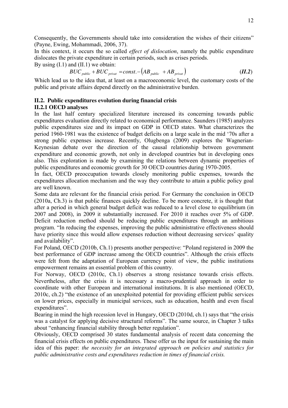Consequently, the Governments should take into consideration the wishes of their citizens" (Payne, Ewing, Mohammadi, 2006, 37).

In this context, it occurs the so called *effect of dislocation*, namely the public expenditure dislocates the private expenditure in certain periods, such as crises periods.

By using  $(I.1)$  and  $(II.1)$  we obtain:

$$
BUC_{\text{public}} + BUC_{\text{private}} = const. - \left(AB_{\text{public}} + AB_{\text{private}}\right) \tag{II.2}
$$

Which lead us to the idea that, at least on a macroeconomic level, the customary costs of the public and private affairs depend directly on the administrative burden.

## **II.2. Public expenditures evolution during financial crisis**

## **II.2.1 OECD analyses**

In the last half century specialized literature increased its concerning towards public expenditures evaluation directly related to economical performance. Saunders (1985) analyzes public expenditures size and its impact on GDP in OECD states. What characterizes the period 1960-1981 was the existence of budget deficits on a large scale in the mid '70s after a strong public expenses increase. Recently, Olugbenga (2009) explores the Wagnerian-Keynesian debate over the direction of the causal relationship between government expenditure and economic growth, not only in developed countries but in developing ones also. This exploration is made by examining the relations between dynamic properties of public expenditures and economic growth for 30 OECD countries during 1970-2005.

In fact, OECD preoccupation towards closely monitoring public expenses, towards the expenditures allocation mechanism and the way they contribute to attain a public policy goal are well known.

Some data are relevant for the financial crisis period. For Germany the conclusion in OECD (2010a, Ch.3) is that public finances quickly decline. To be more concrete, it is thought that after a period in which general budget deficit was reduced to a level close to equilibrium (in 2007 and 2008), in 2009 it substantially increased. For 2010 it reaches over 5% of GDP. Deficit reduction method should be reducing public expenditures through an ambitious program. "In reducing the expenses, improving the public administrative effectiveness should have priority since this would allow expenses reduction without decreasing services' quality and availability".

For Poland, OECD (2010b, Ch.1) presents another perspective: "Poland registered in 2009 the best performance of GDP increase among the OECD countries". Although the crisis effects were felt from the adaptation of European currency point of view, the public institutions empowerment remains an essential problem of this country.

For Norway, OECD (2010c, Ch.1) observes a strong resistance towards crisis effects. Nevertheless, after the crisis it is necessary a macro-prudential approach in order to coordinate with other European and international institutions. It is also mentioned (OECD, 2010c, ch.2) "the existence of an unexploited potential for providing efficient public services on lower prices, especially in municipal services, such as education, health and even fiscal expenditures".

Bearing in mind the high recession level in Hungary, OECD (2010d, ch.1) says that "the crisis was a catalyst for applying decisive structural reforms". The same source, in Chapter 3 talks about "enhancing financial stability through better regulation".

Obviously, OECD comprised 30 states fundamental analysis of recent data concerning the financial crisis effects on public expenditures. These offer us the input for sustaining the main idea of this paper: *the necessity for an integrated approach on policies and statistics for public administrative costs and expenditures reduction in times of financial crisis.*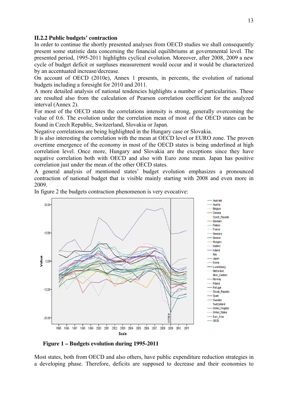#### **II.2.2 Public budgets' contraction**

In order to continue the shortly presented analyses from OECD studies we shall consequently present some statistic data concerning the financial equilibriums at governmental level. The presented period, 1995-2011 highlights cyclical evolution. Moreover, after 2008, 2009 a new cycle of budget deficit or surpluses measurement would occur and it would be characterized by an accentuated increase/decrease.

On account of OECD (2010e), Annex 1 presents, in percents, the evolution of national budgets including a foresight for 2010 and 2011.

A more detailed analysis of national tendencies highlights a number of particularities. These are resulted also from the calculation of Pearson correlation coefficient for the analyzed interval (Annex 2).

For most of the OECD states the correlations intensity is strong, generally overcoming the value of 0.6. The evolution under the correlation mean of most of the OECD states can be found in Czech Republic, Switzerland, Slovakia or Japan.

Negative correlations are being highlighted in the Hungary case or Slovakia.

It is also interesting the correlation with the mean at OECD level or EURO zone. The proven overtime emergence of the economy in most of the OECD states is being underlined at high correlation level. Once more, Hungary and Slovakia are the exceptions since they have negative correlation both with OECD and also with Euro zone mean. Japan has positive correlation just under the mean of the other OECD states.

A general analysis of mentioned states' budget evolution emphasizes a pronounced contraction of national budget that is visible mainly starting with 2008 and even more in 2009.



In figure 2 the budgets contraction phenomenon is very evocative:

 **Figure 1 – Budgets evolution during 1995-2011** 

Most states, both from OECD and also others, have public expenditure reduction strategies in a developing phase. Therefore, deficits are supposed to decrease and their economies to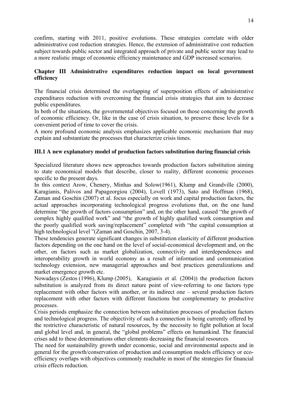confirm, starting with 2011, positive evolutions. These strategies correlate with older administrative cost reduction strategies. Hence, the extension of administrative cost reduction subject towards public sector and integrated approach of private and public sector may lead to a more realistic image of economic efficiency maintenance and GDP increased scenarios.

## **Chapter III Administrative expenditures reduction impact on local government efficiency**

The financial crisis determined the overlapping of superposition effects of administrative expenditures reduction with overcoming the financial crisis strategies that aim to decrease public expenditures.

In both of the situations, the governmental objectives focused on those concerning the growth of economic efficiency. Or, like in the case of crisis situation, to preserve these levels for a convenient period of time to cover the crisis.

A more profound economic analysis emphasizes applicable economic mechanism that may explain and substantiate the processes that characterize crisis times.

## **III.1 A new explanatory model of production factors substitution during financial crisis**

Specialized literature shows new approaches towards production factors substitution aiming to state economical models that describe, closer to reality, different economic processes specific to the present days.

In this context Arow, Chenery, Minhas and Solow(1961), Klump and Grandville (2000), Karagianis, Palivos and Papageorgiou (2004), Lovell (1973), Sato and Hoffman (1968), Zaman and Goschin (2007) et al. focus especially on work and capital production factors, the actual approaches incorporating technological progress evolutions that, on the one hand determine "the growth of factors consumption" and, on the other hand, caused "the growth of complex highly qualified work" and "the growth of highly qualified work consumption and the poorly qualified work saving/replacement" completed with "the capital consumption at high technological level "(Zaman and Goschin, 2007, 3-4).

These tendencies generate significant changes in substitution elasticity of different production factors depending on the one hand on the level of social-economical development and, on the other, on factors such as market globalization, connectivity and interdependences and interoperability growth in world economy as a result of information and communication technology extension, new managerial approaches and best practices generalizations and market emergence growth etc.

Nowadays (Zestos (1996), Klump (2005), Karagianis et al. (2004)) the production factors substitution is analyzed from its direct nature point of view-referring to one factors type replacement with other factors with another, or its indirect one – several production factors replacement with other factors with different functions but complementary to productive processes.

Crisis periods emphasize the connection between substitution processes of production factors and technological progress. The objectivity of such a connection is being currently offered by the restrictive characteristic of natural resources, by the necessity to fight pollution at local and global level and, in general, the "global problems" effects on humankind. The financial crises add to these determinations other elements decreasing the financial resources.

The need for sustainability growth under economic, social and environmental aspects and in general for the growth/conservation of production and consumption models efficiency or ecoefficiency overlaps with objectives commonly reachable in most of the strategies for financial crisis effects reduction.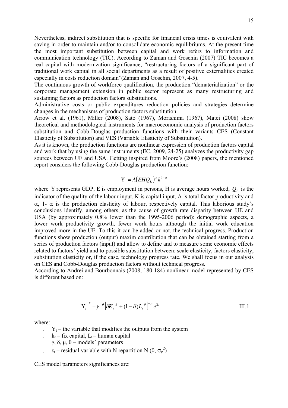Nevertheless, indirect substitution that is specific for financial crisis times is equivalent with saving in order to maintain and/or to consolidate economic equilibriums. At the present time the most important substitution between capital and work refers to information and communication technology (TIC). According to Zaman and Goschin (2007) TIC becomes a real capital with modernization significance, "restructuring factors of a significant part of traditional work capital in all social departments as a result of positive externalities created especially in costs reduction domain"(Zaman and Goschin, 2007, 4-5).

The continuous growth of workforce qualification, the production "dematerialization" or the corporate management extension in public sector represent as many restructuring and sustaining factors as production factors substitutions.

Administrative costs or public expenditures reduction policies and strategies determine changes in the mechanisms of production factors substitution.

Arrow et al. (1961), Miller (2008), Sato (1967), Morishima (1967), Matei (2008) show theoretical and methodological instruments for macroeconomic analysis of production factors substitution and Cobb-Douglas production functions with their variants CES (Constant Elasticity of Substitution) and VES (Variable Elasticity of Substitution).

As it is known, the production functions are nonlinear expression of production factors capital and work that by using the same instruments (EC, 2009, 24-25) analyzes the productivity gap sources between UE and USA. Getting inspired from Moore's (2008) papers, the mentioned report considers the following Cobb-Douglas production function:

# $Y = A(EHQ_L)^{\alpha} k^{1-\alpha}$

where Y represents GDP, E is employment in persons, H is average hours worked,  $Q_L$  is the indicator of the quality of the labour input, K is capital input, A is total factor productivity and  $\alpha$ , 1-  $\alpha$  is the production elasticity of labour, respectively capital. This laborious study's conclusions identify, among others, as the cause of growth rate disparity between UE and USA (by approximately 0.8% lower than the 1995-2006 period): demographic aspects, a lower work productivity growth, fewer work hours although the initial work education improved more in the UE. To this it can be added or not, the technical progress. Production functions show production (output) maxim contribution that can be obtained starting from a series of production factors (input) and allow to define and to measure some economic effects related to factors' yield and to possible substitution between: scale elasticity, factors elasticity, substitution elasticity or, if the case, technology progress rate. We shall focus in our analysis on CES and Cobb-Douglas production factors without technical progress.

According to Andrei and Bourbonnais (2008, 180-184) nonlinear model represented by CES is different based on:

$$
Y_t^{-\theta} = \gamma^{-\theta} \left[ \delta K_t^{-\theta} + (1 - \delta) L_t^{-\theta} \right]^{-\mu} e^{\Sigma t}
$$
III.1

where:

- $Y_t$  the variable that modifies the outputs from the system
- $k_t$  fix capital,  $L_t$  human capital
- γ, δ, μ, θ models' parameters
- $\epsilon_t$  residual variable with N repartition N  $(0, \sigma_{\epsilon}^2)$

CES model parameters significances are: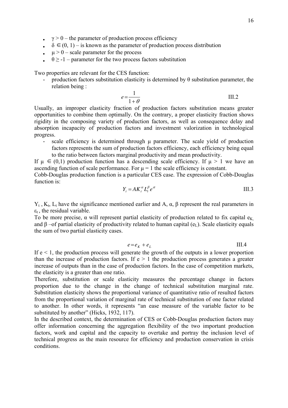- $\gamma > 0$  the parameter of production process efficiency
- $\delta \in (0, 1)$  is known as the parameter of production process distribution
- $\mu > 0$  scale parameter for the process
- $\theta$  > -1 parameter for the two process factors substitution

Two properties are relevant for the CES function:

production factors substitution elasticity is determined by θ substitution parameter, the relation being :

$$
e = \frac{1}{1 + \theta} \tag{III.2}
$$

Usually, an improper elasticity fraction of production factors substitution means greater opportunities to combine them optimally. On the contrary, a proper elasticity fraction shows rigidity in the composing variety of production factors, as well as consequence delay and absorption incapacity of production factors and investment valorization in technological progress.

scale efficiency is determined through  $\mu$  parameter. The scale yield of production factors represents the sum of production factors efficiency, each efficiency being equal to the ratio between factors marginal productivity and mean productivity.

If  $\mu \in (0,1)$  production function has a descending scale efficiency. If  $\mu > 1$  we have an ascending function of scale performance. For  $\mu = 1$  the scale efficiency is constant.

Cobb-Douglas production function is a particular CES case. The expression of Cobb-Douglas function is:

$$
Y_t = A K_t^{\alpha} L_t^{\beta} e^{\alpha t} \tag{III.3}
$$

 $Y_t$ , K<sub>t</sub>, L<sub>t</sub> have the significance mentioned earlier and A, α, β represent the real parameters in  $\varepsilon_t$ , the residual variable.

To be more precise,  $\alpha$  will represent partial elasticity of production related to fix capital  $e_K$ and  $\beta$  –of partial elasticity of productivity related to human capital (e<sub>L</sub>). Scale elasticity equals the sum of two partial elasticity cases.

$$
e = e_K + e_L \tag{III.4}
$$

If  $e < 1$ , the production process will generate the growth of the outputs in a lower proportion than the increase of production factors. If  $e > 1$  the production process generates a greater increase of outputs than in the case of production factors. In the case of competition markets, the elasticity is a greater than one ratio.

Therefore, substitution or scale elasticity measures the percentage change in factors proportion due to the change in the change of technical substitution marginal rate. Substitution elasticity shows the proportional variance of quantitative ratio of resulted factors from the proportional variation of marginal rate of technical substitution of one factor related to another. In other words, it represents "an ease measure of the variable factor to be substituted by another" (Hicks, 1932, 117).

In the described context, the determination of CES or Cobb-Douglas production factors may offer information concerning the aggregation flexibility of the two important production factors, work and capital and the capacity to overtake and portray the inclusion level of technical progress as the main resource for efficiency and production conservation in crisis conditions.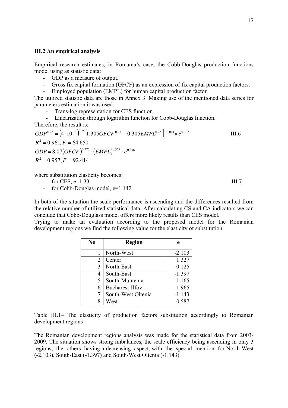#### **III.2 An empirical analysis**

Empirical research estimates, in Romania's case, the Cobb-Douglas production functions model using as statistic data:

- GDP as a measure of output.
- Gross fix capital formation (GFCF) as an expression of fix capital production factors.
- Employed population (EMPL) for human capital production factor

The utilized statistic data are those in Annex 3. Making use of the mentioned data series for parameters estimation it was used:

- Trans-log representation for CES function
- Linearization through logarithm function for Cobb-Douglas function.

Therefore, the result is:

$$
GDP^{0.25} = (4 \cdot 10^{-6})^{0.25} [1.305 GFCF^{0.25} - 0.305 EMPL^{0.25}]^{-2.014} \times e^{0.307}
$$
 III.6  
\n
$$
R^2 = 0.961, F = 64.650
$$
  
\n
$$
GDP = 8.07 (GFCF)^{0.775} \cdot (EMPL)^{0.367} \cdot e^{0.338}
$$
  
\n
$$
R^2 = 0.957, F = 92.414
$$

where substitution elasticity becomes:

$$
- \quad \text{for CES}, e=1.33 \tag{III.7}
$$

- for Cobb-Douglas model, e=1.142

In both of the situation the scale performance is ascending and the differences resulted from the relative number of utilized statistical data. After calculating CS and CA indicators we can conclude that Cobb-Douglass model offers more likely results than CES model.

Trying to make an evaluation according to the proposed model for the Romanian development regions we find the following value for the elasticity of substitution.

| N <sub>0</sub> | <b>Region</b>      | e        |
|----------------|--------------------|----------|
|                | North-West         | $-2.103$ |
| 2              | Center             | 1.327    |
| 3              | North-East         | $-0.125$ |
| 4              | South-East         | $-1.397$ |
| 5              | South-Muntenia     | 1.165    |
| 6              | Bucharest-Ilfov    | 1.965    |
| 7              | South-West Oltenia | $-1.143$ |
| 8              | West               | $-0.587$ |

Table III.1– The elasticity of production factors substitution accordingly to Romanian development regions

The Romanian development regions analysis was made for the statistical data from 2003- 2009. The situation shows strong imbalances, the scale efficiency being ascending in only 3 regions, the others having a decreasing aspect, with the special mention for North-West (-2.103), South-East (-1.397) and South-West Oltenia (-1.143).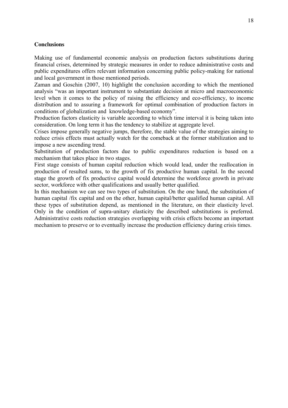#### **Conclusions**

Making use of fundamental economic analysis on production factors substitutions during financial crises, determined by strategic measures in order to reduce administrative costs and public expenditures offers relevant information concerning public policy-making for national and local government in those mentioned periods.

Zaman and Goschin (2007, 10) highlight the conclusion according to which the mentioned analysis "was an important instrument to substantiate decision at micro and macroeconomic level when it comes to the policy of raising the efficiency and eco-efficiency, to income distribution and to assuring a framework for optimal combination of production factors in conditions of globalization and knowledge-based economy".

Production factors elasticity is variable according to which time interval it is being taken into consideration. On long term it has the tendency to stabilize at aggregate level.

Crises impose generally negative jumps, therefore, the stable value of the strategies aiming to reduce crisis effects must actually watch for the comeback at the former stabilization and to impose a new ascending trend.

Substitution of production factors due to public expenditures reduction is based on a mechanism that takes place in two stages.

First stage consists of human capital reduction which would lead, under the reallocation in production of resulted sums, to the growth of fix productive human capital. In the second stage the growth of fix productive capital would determine the workforce growth in private sector, workforce with other qualifications and usually better qualified.

In this mechanism we can see two types of substitution. On the one hand, the substitution of human capital /fix capital and on the other, human capital/better qualified human capital. All these types of substitution depend, as mentioned in the literature, on their elasticity level. Only in the condition of supra-unitary elasticity the described substitutions is preferred. Administrative costs reduction strategies overlapping with crisis effects become an important mechanism to preserve or to eventually increase the production efficiency during crisis times.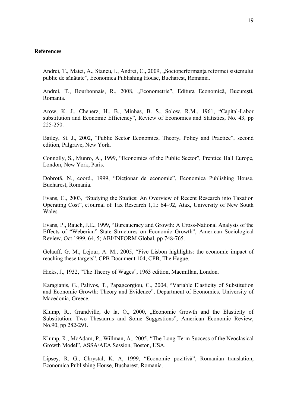#### **References**

Andrei, T., Matei, A., Stancu, I., Andrei, C., 2009, "Socioperformanța reformei sistemului public de sănătate", Economica Publishing House, Bucharest, Romania.

Andrei, T., Bourbonnais, R., 2008, "Econometrie", Editura Economică, Bucureşti, Romania.

Arow, K. J., Chenerz, H., B., Minhas, B. S., Solow, R.M., 1961, "Capital-Labor substitution and Economic Efficiency", Review of Economics and Statistics, No. 43, pp 225-250.

Bailey, St. J., 2002, "Public Sector Economics, Theory, Policy and Practice", second edition, Palgrave, New York.

Connolly, S., Munro, A., 1999, "Economics of the Public Sector", Prentice Hall Europe, London, New York, Paris.

Dobrotă, N., coord., 1999, "Dicţionar de economie", Economica Publishing House, Bucharest, Romania.

Evans, C., 2003, "Studying the Studies: An Overview of Recent Research into Taxation Operating Cost", eJournal of Tax Research 1,1,: 64–92, Atax, University of New South Wales.

Evans, P., Rauch, J.E., 1999, "Bureaucracy and Growth: A Cross-National Analysis of the Effects of "Weberian" State Structures on Economic Growth", American Sociological Review, Oct 1999, 64, 5; ABI/INFORM Global, pp 748-765.

Gelauff, G. M., Lejour, A. M., 2005, "Five Lisbon highlights: the economic impact of reaching these targets", CPB Document 104, CPB, The Hague.

Hicks, J., 1932, "The Theory of Wages", 1963 edition, Macmillan, London.

Karagianis, G., Palivos, T., Papageorgiou, C., 2004, "Variable Elasticity of Substitution and Economic Growth: Theory and Evidence", Department of Economics, University of Macedonia, Greece.

Klump, R., Grandville, de la, O., 2000, "Economic Growth and the Elasticity of Substitution: Two Thesaurus and Some Suggestions", American Economic Review, No.90, pp 282-291.

Klump, R., McAdam, P., Willman, A., 2005, "The Long-Term Success of the Neoclasical Growth Model", ASSA/AEA Session, Boston, USA.

Lipsey, R. G., Chrystal, K. A, 1999, "Economie pozitivă", Romanian translation, Economica Publishing House, Bucharest, Romania.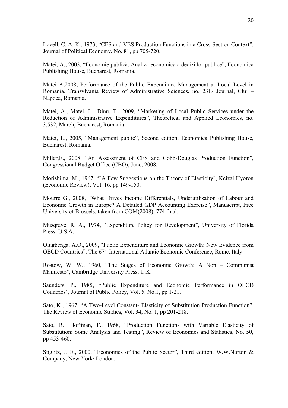Lovell, C. A. K., 1973, "CES and VES Production Functions in a Cross-Section Context", Journal of Political Economy, No. 81, pp 705-720.

Matei, A., 2003, "Economie publică. Analiza economică a deciziilor publice", Economica Publishing House, Bucharest, Romania.

Matei A,2008, Performance of the Public Expenditure Management at Local Level in Romania. Transylvania Review of Administrative Sciences, no. 23E/ Journal, Cluj – Napoca, Romania.

Matei, A., Matei, L., Dinu, T., 2009, "Marketing of Local Public Services under the Reduction of Administrative Expenditures", Theoretical and Applied Economics, no. 3,532, March, Bucharest, Romania.

Matei, L., 2005, "Management public", Second edition, Economica Publishing House, Bucharest, Romania.

Miller,E., 2008, "An Assessment of CES and Cobb-Douglas Production Function", Congressional Budget Office (CBO), June, 2008.

Morishima, M., 1967, ""A Few Suggestions on the Theory of Elasticity", Keizai Hyoron (Economic Review), Vol. 16, pp 149-150.

Mourre G., 2008, "What Drives Income Differentials, Underutilisation of Labour and Economic Growth in Europe? A Detailed GDP Accounting Exercise", Manuscript, Free University of Brussels, taken from COM(2008), 774 final.

Musqrave, R. A., 1974, "Expenditure Policy for Development", University of Florida Press, U.S.A.

Olugbenga, A.O., 2009, "Public Expenditure and Economic Growth: New Evidence from OECD Countries". The  $67<sup>th</sup>$  International Atlantic Economic Conference, Rome, Italy.

Rostow, W. W., 1960, "The Stages of Economic Growth: A Non – Communist Manifesto", Cambridge University Press, U.K.

Saunders, P., 1985, "Public Expenditure and Economic Performance in OECD Countries", Journal of Public Policy, Vol. 5, No.1, pp 1-21.

Sato, K., 1967, "A Two-Level Constant- Elasticity of Substitution Production Function", The Review of Economic Studies, Vol. 34, No. 1, pp 201-218.

Sato, R., Hoffman, F., 1968, "Production Functions with Variable Elasticity of Substitution: Some Analysis and Testing", Review of Economics and Statistics, No. 50, pp 453-460.

Stiglitz, J. E., 2000, "Economics of the Public Sector", Third edition, W.W.Norton & Company, New York/ London.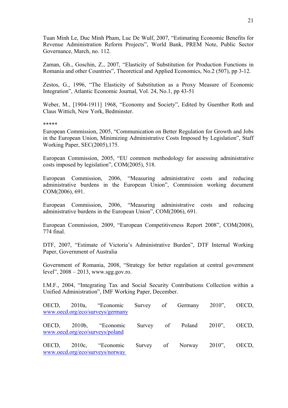Tuan Minh Le, Duc Minh Pham, Luc De Wulf, 2007, "Estimating Economic Benefits for Revenue Administration Reform Projects", World Bank, PREM Note, Public Sector Governance, March, no. 112.

Zaman, Gh., Goschin, Z., 2007, "Elasticity of Substitution for Production Functions in Romania and other Countries", Theoretical and Applied Economics, No.2 (507), pp 3-12.

Zestos, G., 1996, "The Elasticity of Substitution as a Proxy Measure of Economic Integration", Atlantic Economic Journal, Vol. 24, No.1, pp 43-51

Weber, M., [1904-1911] 1968, "Economy and Society", Edited by Guenther Roth and Claus Wittich, New York, Bedminster.

#### \*\*\*\*\*

European Commission, 2005, "Communication on Better Regulation for Growth and Jobs in the European Union, Minimizing Administrative Costs Imposed by Legislation", Staff Working Paper, SEC(2005),175.

European Commission, 2005, "EU common methodology for assessing administrative costs imposed by legislation", COM(2005), 518.

European Commission, 2006, "Measuring administrative costs and reducing administrative burdens in the European Union", Commission working document COM(2006), 691.

European Commission, 2006, "Measuring administrative costs and reducing administrative burdens in the European Union", COM(2006), 691.

European Commission, 2009, "European Competitiveness Report 2008", COM(2008), 774 final.

DTF, 2007, "Estimate of Victoria's Administrative Burden", DTF Internal Working Paper, Government of Australia

Government of Romania, 2008, "Strategy for better regulation at central government level", 2008 – 2013, www.sgg.gov.ro.

I.M.F., 2004, "Integrating Tax and Social Security Contributions Collection within a Unified Administration", IMF Working Paper, December.

|  | OECD, 2010a, "Economic Survey of Germany 2010", OECD,<br>www.oecd.org/eco/surveys/germany |  |                               |  |
|--|-------------------------------------------------------------------------------------------|--|-------------------------------|--|
|  | OECD, 2010b, "Economic<br>www.oecd.org/eco/surveys/poland                                 |  | Survey of Poland 2010", OECD, |  |
|  | OECD, 2010c, "Economic Survey of Norway 2010", OECD,<br>www.oecd.org/eco/surveys/norway   |  |                               |  |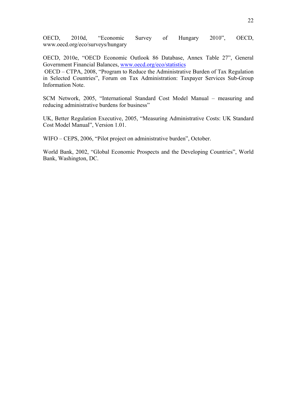OECD, 2010d, "Economic Survey of Hungary 2010", OECD, www.oecd.org/eco/surveys/hungary

OECD, 2010e, "OECD Economic Outlook 86 Database, Annex Table 27", General [G](http://www.oecd.org/eco/statistics)overnment Financial Balances, [www.oecd.org/eco/statistics](http://www.oecd.org/eco/statistics) 

OECD – CTPA, 2008, "Program to Reduce the Administrative Burden of Tax Regulation in Selected Countries", Forum on Tax Administration: Taxpayer Services Sub-Group Information Note.

SCM Network, 2005, "International Standard Cost Model Manual – measuring and reducing administrative burdens for business"

UK, Better Regulation Executive, 2005, "Measuring Administrative Costs: UK Standard Cost Model Manual", Version 1.01.

WIFO – CEPS, 2006, "Pilot project on administrative burden", October.

World Bank, 2002, "Global Economic Prospects and the Developing Countries", World Bank, Washington, DC.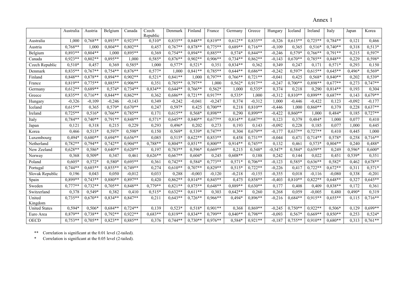Annex 1

|                      | Australia | Austria   | Belgium   | Canada    | Czech<br>Republic | Denmark   | Finland              | France               | Germany   | Greece    | Hungary             | Iceland   | Ireland   | Italy     | Japan    | Korea     |
|----------------------|-----------|-----------|-----------|-----------|-------------------|-----------|----------------------|----------------------|-----------|-----------|---------------------|-----------|-----------|-----------|----------|-----------|
| Australia            | 1,000     | $0.768**$ | $0.893**$ | $0.923**$ | $0,510*$          | $0,835**$ | $0,848**$            | $0,819**$            | $0.612**$ | $0,835**$ | $-0,326$            | $0.615**$ | $0.725**$ | $0.784**$ | 0.121    | 0,466     |
| Austria              | $0,768**$ | 1,000     | $0,804**$ | $0,802**$ | 0,457             | $0,767**$ | $0.878**$            | $0,775**$            | $0,689**$ | $0,716**$ | $-0,109$            | 0.365     | $0,516*$  | $0,740**$ | 0.318    | $0,513*$  |
| Belgium              | $0,893**$ | $0,804**$ | 1,000     | $0,895**$ | 0,369             | $0,754**$ | $0,894**$            | $0,885**$            | $0,574*$  | $0,844**$ | $-0,246$            | $0,579*$  | $0.766**$ | $0.791**$ | 0,215    | $0,597*$  |
| Canada               | $0,923**$ | $0,802**$ | $0,895**$ | 1,000     | $0,585*$          | $0,876**$ | $0.902**$            | $0,906**$            | $0,734**$ | $0,862**$ | $-0,143$            | $0.670**$ | $0,785**$ | 0,848**   | 0,229    | 0,598*    |
| Czech Republic       | $0,510*$  | 0,457     | 0,369     | 0,585*    | 1,000             | $0,577*$  | $0,521*$             | 0,351                | $0,834**$ | 0,362     | 0,349               | 0,247     | 0,171     | $0,571*$  | 0,293    | 0,150     |
| Denmark              | $0,835**$ | $0.767**$ | $0,754**$ | $0.876**$ | $0,577*$          | 1,000     | $0,841**$            | $0.785**$            | $0.644**$ | $0.686**$ | $-0,242$            | $0,597*$  | $0.615**$ | $0.645**$ | 0,496*   | $0,569*$  |
| Finland              | $0,848**$ | $0,878**$ | $0,894**$ | $0,902**$ | $0.521*$          | $0,841**$ | 1,000                | $0,797**$            | $0,766**$ | $0,721**$ | $-0,041$            | 0,425     | $0,568*$  | $0,840**$ | 0,202    | $0,539*$  |
| France               | $0,819**$ | $0,775**$ | $0,885**$ | $0,906**$ | 0,351             | $0,785**$ | $0,797**$            | 1,000                | $0,562*$  | $0.917**$ | $-0,247$            | $0,700**$ | $0,898**$ | $0.677**$ | 0,273    | $0.747**$ |
| Germany              | $0,612**$ | $0.689**$ | $0,574*$  | $0.734**$ | $0.834**$         | $0.644**$ | $0.766**$            | $0,562*$             | 1,000     | $0,535*$  | 0,374               | 0,218     | 0,290     | $0.814**$ | 0.193    | 0,304     |
| Greece               | $0,835**$ | $0,716**$ | $0,844**$ | $0,862**$ | 0,362             | $0,686**$ | $0,721**$            | $0,\overline{917**}$ | $0,535*$  | 1,000     | $-0,312$            | $0.810**$ | 0,899**   | $0,687**$ | 0,143    | $0,679**$ |
| Hungary              | $-0,326$  | $-0,109$  | $-0,246$  | $-0,143$  | 0,349             | $-0,242$  | $-0,041$             | $-0,247$             | 0,374     | $-0,312$  | 1,000               | $-0,446$  | $-0,422$  | 0,123     | $-0,092$ | $-0,177$  |
| Iceland              | $0,615**$ | 0.365     | 0,579*    | $0.670**$ | 0,247             | $0,597*$  | 0,425                | $0,700**$            | 0,218     | $0.810**$ | $-0,446$            | 1,000     | $0.860**$ | 0,379     | 0,228    | $0,637**$ |
| Ireland              | $0,725**$ | $0,516*$  | $0,766**$ | $0,785**$ | 0,171             | $0,615**$ | $0,568*$             | 0,898**              | 0,290     | $0,899**$ | $-0,422$            | $0,860**$ | 1,000     | $0,484*$  | 0,185    | $0,727**$ |
| Italy                | $0.784**$ | $0.740**$ | $0.791**$ | $0.848**$ | $0,571*$          | $0.645**$ | $0.840**$            | $0.677**$            | $0.814**$ | $0.687**$ | 0,123               | 0,379     | $0,484*$  | 1,000     | 0,077    | 0,410     |
| Japan                | 0,121     | 0,318     | 0,215     | 0,229     | 0,293             | $0,496*$  | 0,202                | 0,273                | 0,193     | 0,143     | $-0,092$            | 0,228     | 0,185     | 0,077     | 1,000    | 0,445     |
| Korea                | 0,466     | $0,513*$  | $0,597*$  | $0,598*$  | 0,150             | $0,569*$  | $0,539*$             | $0,747**$            | 0,304     | $0,679**$ | $-0,177$            | $0,637**$ | $0,727**$ | 0,410     | 0,445    | 1,000     |
| Luxembourg           | 0,494*    | $0,680**$ | $0,694**$ | $0,656**$ | 0,085             | $0,515*$  | $0,622**$            | $0,853**$            | 0,458     | $0,731**$ | $-0,044$            | 0,471     | $0,714**$ | 0,578*    | 0,258    | $0,716**$ |
| Netherland           | $0,782**$ | $0.794**$ | $0,742**$ | $0,904**$ | $0,788**$         | $0,804**$ | $0,851**$            | $0,800**$            | $0,914**$ | $0,745**$ | 0,132               | 0,461     | $0,573*$  | $0.804**$ | 0,240    | 0,488*    |
| New Zeeland          | $0,628**$ | 0,586*    | $0,640**$ | $0.620**$ | 0,197             | $0,783**$ | 0,596*               | $0,669**$            | 0,215     | $0,548*$  | $-0,547*$           | $0,584*$  | $0.659**$ | 0,249     | 0,596*   | $0,600*$  |
| Norway               | 0,368     | $0,509*$  | 0,347     | 0,461     | $0,626**$         | $0,667**$ | $0,604*$             | 0,245                | $0,608**$ | 0,188     | 0,242               | 0,144     | 0,022     | 0,451     | 0,539*   | 0,351     |
| Poland               | $0,605*$  | $0,572*$  | 0.580*    | $0.695**$ | 0,361             | $0,742**$ | $0,584*$             | $0.773**$            | $0,571*$  | $0,706**$ | $-0,123$            | $0,585*$  | $0,636**$ | 0,582*    | 0,462    | $0.678**$ |
| Portugal             | $0,744**$ | $0.685**$ | $0.855**$ | $0.749**$ | 0,274             | $0.610**$ | $0.707**$            | $0.829**$            | $0,515*$  | $0,722**$ | $-0,226$            | 0.417     | $0.722**$ | $0.672**$ | 0,311    | $0,571*$  |
| Slovak Republic      | 0,196     | 0,043     | 0,050     | $-0,012$  | 0,033             | 0,288     | $-0,003$             | $-0,120$             | $-0,218$  | $-0,155$  | $-0,355$            | 0,018     | $-0,116$  | $-0.080$  | 0,338    | $-0,201$  |
| Spain                | 0,899**   | $0.743**$ | $0.880**$ | 0,897**   | 0,420             | $0,862**$ | $0,\overline{814**}$ | $0,845**$            | 0,475     | $0,858**$ | $-0,40\overline{3}$ | $0.810**$ | $0.822**$ | $0.648**$ | 0,327    | $0.645**$ |
| Sweden               | $0,777**$ | $0,732**$ | $0,705**$ | $0,848**$ | $0,779**$         | $0,821**$ | $0.875**$            | $0,648**$            | $0,889**$ | $0,630**$ | 0,177               | 0,408     | 0,409     | 0,838**   | 0,172    | 0,361     |
| Switzerland          | 0,378     | $0,549*$  | 0,382     | 0,410     | $0,515*$          | $0,632**$ | $0.611**$            | 0,303                | $0,642**$ | 0,260     | 0,268               | 0.059     | $-0,005$  | 0,480     | 0,490*   | 0,319     |
| United               | $0,735**$ | $0.670**$ | $0,834**$ | $0,847**$ | 0,211             | $0,643**$ | $0,726**$            | $0,966**$            | 0,494*    | $0,896**$ | $-0,216$            | $0,684**$ | $0.915**$ | $0,655**$ | 0,115    | $0,716**$ |
| Kingdom              |           |           |           |           |                   |           |                      |                      |           |           |                     |           |           |           |          |           |
| <b>United States</b> | 0,594*    | 0,506*    | $0.684**$ | $0.724**$ | 0,139             | $0,523*$  | $0,518*$             | $0.901**$            | 0,368     | $0,869**$ | $-0,245$            | $0,750**$ | $0.922**$ | 0,506*    | 0,129    | $0.699**$ |
| Euro Area            | 0,879**   | $0,738**$ | $0,792**$ | $0,922**$ | $0,683**$         | $0.819**$ | $0.834**$            | $0.799**$            | $0,840**$ | $0.798**$ | $-0,093$            | $0,567*$  | $0.669**$ | $0.850**$ | 0,253    | $0,524*$  |
| <b>OECD</b>          | $0.753**$ | $0.705**$ | $0.823**$ | $0.885**$ | 0,376             | $0,744**$ | $0.730**$            | $0.976**$            | 0,584*    | $0,921**$ | $-0,187$            | $0.755**$ | $0.910**$ | $0.680**$ | 0,313    | $0,761**$ |

\*\* Correlation is significant at the 0.01 level (2-tailed).

\* Correlation is significant at the 0.05 level (2-tailed).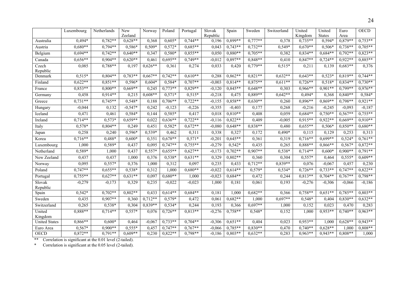|                      | Luxembourg | Netherlands | New<br>Zeeland | Norway    | Poland    | Portugal   | Slovak<br>Republic | Spain                   | Sweden    | Switzerland | United<br>Kingdom | United<br><b>States</b> | Euro<br>Area | <b>OECD</b> |
|----------------------|------------|-------------|----------------|-----------|-----------|------------|--------------------|-------------------------|-----------|-------------|-------------------|-------------------------|--------------|-------------|
| Australia            | 0,494*     | $0,782**$   | $0,628**$      | 0,368     | $0,605*$  | $0,744**$  | 0,196              | 0,899**                 | $0,777**$ | 0,378       | $0,735**$         | $0,594*$                | $0,879**$    | $0,753**$   |
| Austria              | $0,680**$  | $0,794**$   | 0,586*         | $0,509*$  | $0,572*$  | $0.685**$  | 0,043              | $0,743**$               | $0,732**$ | 0,549*      | $0.670**$         | $0,506*$                | $0,738**$    | $0,705**$   |
| Belgium              | $0,694**$  | $0,742**$   | $0,640**$      | 0,347     | $0,580*$  | $0,855***$ | 0,050              | $0,880**$               | $0,705**$ | 0,382       | $0,834**$         | $0,684**$               | $0,792**$    | $0,823**$   |
| Canada               | $0,656**$  | $0,904**$   | $0,620**$      | 0,461     | $0,695**$ | $0,749**$  | $-0,012$           | $0,897**$               | 0,848**   | 0,410       | $0,847**$         | $0,724**$               | $0,922**$    | $0,885**$   |
| Czech<br>Republic    | 0,085      | $0,788**$   | 0,197          | $0,626**$ | 0,361     | 0,274      | 0,033              | 0,420                   | $0,779**$ | $0,515*$    | 0,211             | 0,139                   | $0,683**$    | 0,376       |
| Denmark              | $0,515*$   | $0,804**$   | $0,783**$      | $0,667**$ | $0,742**$ | $0.610**$  | 0,288              | $0,862**$               | $0,821**$ | $0,632**$   | $0,643**$         | $0,523*$                | $0.819**$    | $0,744**$   |
| Finland              | $0,622**$  | $0.851**$   | $0,596*$       | $0,604*$  | $0,584*$  | $0,707**$  | $-0,003$           | $0,814**$               | $0,875**$ | $0,611**$   | $0,726**$         | $0,518*$                | $0,834**$    | $0,730**$   |
| France               | $0,853**$  | $0,800**$   | $0,669**$      | 0,245     | $0,773**$ | $0,829**$  | $-0,120$           | $0,845**$               | $0,648**$ | 0,303       | $0,966**$         | $0,901**$               | $0,799**$    | $0,976**$   |
| Germany              | 0,458      | $0.914**$   | 0,215          | $0,608**$ | $0,571*$  | $0,515*$   | $-0,218$           | 0,475                   | 0,889**   | $0,642**$   | 0,494*            | 0,368                   | $0,840**$    | 0,584*      |
| Greece               | $0,731**$  | $0,745**$   | $0,548*$       | 0,188     | $0,706**$ | $0,722**$  | $-0,155$           | $0,858**$               | $0,630**$ | 0,260       | $0,896**$         | $0,869**$               | $0,798**$    | $0,921**$   |
| Hungary              | $-0,044$   | 0,132       | $-0,547*$      | 0,242     | $-0,123$  | $-0,226$   | $-0,355$           | $-0,403$                | 0,177     | 0,268       | $-0,216$          | $-0,245$                | $-0,093$     | $-0,187$    |
| Iceland              | 0,471      | 0,461       | $0,584*$       | 0,144     | $0,585*$  | 0,417      | 0,018              | $0,810**$               | 0,408     | 0,059       | $0,684**$         | $0,750**$               | $0,567**$    | $0,755**$   |
| Ireland              | $0,714**$  | $0,573*$    | $0.659**$      | 0,022     | $0.636**$ | $0,722**$  | $-0,116$           | $0,822**$               | 0,409     | $-0,005$    | $0,915**$         | $0,922**$               | $0.669**$    | $0,910**$   |
| Italy                | $0,578*$   | $0,804**$   | 0,249          | 0,451     | $0,582*$  | $0,672**$  | $-0.080$           | $0.648**$               | $0,838**$ | 0,480       | $0,655**$         | $0,506*$                | $0,850**$    | $0,680**$   |
| Japan                | 0,258      | 0,240       | 0,596*         | 0,539*    | 0,462     | 0,311      | 0,338              | 0,327                   | 0,172     | $0,490*$    | 0,115             | 0.129                   | 0,253        | 0,313       |
| Korea                | $0,716**$  | $0,488*$    | $0,600*$       | 0,351     | $0.678**$ | $0,571*$   | $-0,201$           | $0,645**$               | 0,361     | 0,319       | $0.716**$         | $0.699**$               | $0,524*$     | $0,761**$   |
| Luxembourg           | 1,000      | 0,589*      | 0,437          | 0,095     | $0,747**$ | $0,755**$  | $-0,279$           | $0,542*$                | 0,435     | 0,265       | 0,888**           | $0,866**$               | $0,567*$     | $0,872**$   |
| Netherland           | 0,589*     | 1,000       | 0,437          | $0,557*$  | $0,655**$ | $0,627**$  | $-0,173$           | $0,702**$               | $0.907**$ | 0,538*      | $0,714**$         | $0,600*$                | $0,900**$    | $0,791**$   |
| New Zeeland          | 0,437      | 0,437       | 1,000          | 0,376     | $0,538*$  | $0,631**$  | 0,329              | $0,802**$               | 0,360     | 0,304       | $0,557*$          | 0,464                   | $0,555*$     | $0,609**$   |
| Norway               | 0,095      | $0,557*$    | 0,376          | 1,000     | 0,312     | 0,097      | 0,235              | 0,433                   | $0,712**$ | $0,839**$   | 0,076             | $-0,067$                | 0,457        | 0,230       |
| Poland               | $0,747**$  | $0.655**$   | 0,538*         | 0,312     | 1,000     | $0,680**$  | $-0,022$           | $0,614**$               | 0,579*    | 0,534*      | $0,726**$         | $0,733**$               | $0,747**$    | $0,822**$   |
| Portugal             | $0,755**$  | $0,627**$   | $0,631**$      | 0,097     | $0,680**$ | 1,000      | $-0,023$           | $0,684**$               | 0,472     | 0,244       | $0,813**$         | $0,704**$               | $0,767**$    | $0,798**$   |
| Slovak<br>Republic   | $-0,279$   | $-0,173$    | 0,329          | 0,235     | $-0,022$  | $-0,023$   | 1,000              | 0,181                   | 0,061     | 0,193       | $-0,276$          | $-0,306$                | $-0.066$     | $-0,186$    |
| Spain                | $0,542*$   | $0,702**$   | $0,802**$      | 0,433     | $0,614**$ | $0,684**$  | 0,181              | 1,000                   | $0,682**$ | 0,366       | $0,758**$         | $0.651**$               | $0,785**$    | $0,803**$   |
| Sweden               | 0,435      | $0,907**$   | 0,360          | $0,712**$ | 0,579*    | 0,472      | 0,061              | $0,682**$               | 1,000     | $0,697**$   | 0,548*            | 0,404                   | $0,830**$    | $0,632**$   |
| Switzerland          | 0,265      | $0,538*$    | 0,304          | $0,839**$ | $0,534*$  | 0,244      | 0,193              | 0,366                   | $0,697**$ | 1,000       | 0,152             | 0,023                   | 0,470        | 0,283       |
| United<br>Kingdom    | $0,888**$  | $0,714**$   | $0,557*$       | 0,076     | $0,726**$ | $0,813**$  | $-0,276$           | $0,758**$               | 0,548*    | 0,152       | 1,000             | $0.953**$               | $0,740**$    | $0,963**$   |
| <b>United States</b> | $0,866**$  | $0,600*$    | 0,464          | $-0,067$  | $0,733**$ | $0,704**$  | $-0,306$           | $0,\overline{651^{**}}$ | 0,404     | 0,023       | $0,953**$         | 1,000                   | $0.628**$    | $0,943**$   |
| Euro Area            | 0,567*     | $0.900**$   | $0,555*$       | 0,457     | $0.747**$ | $0,767**$  | $-0.066$           | $0.785**$               | $0,830**$ | 0,470       | $0,740**$         | $0.628**$               | 1.000        | $0,808**$   |
| <b>OECD</b>          | $0,872**$  | $0,791**$   | $0.609**$      | 0,230     | $0,822**$ | 0,798**    | $-0,186$           | $0,803**$               | $0,632**$ | 0,283       | $0,963**$         | $0,943**$               | $0,808**$    | 1,000       |

\*\* Correlation is significant at the 0.01 level (2-tailed).

\* Correlation is significant at the 0.05 level (2-tailed).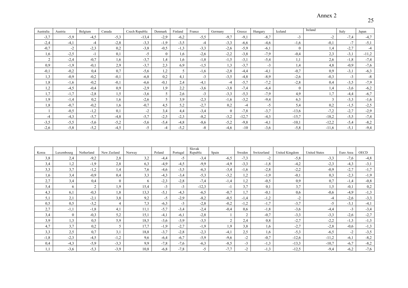## Annex 2

| Australia      | Austria | Belgium | Canada | Czech Republic | Denmark  | Finland | France | Germany  | Greece  | Hungary | Iceland          | Ireland | Italy  | Japan   |
|----------------|---------|---------|--------|----------------|----------|---------|--------|----------|---------|---------|------------------|---------|--------|---------|
| $-3,7$         | $-5,9$  | $-4,5$  | $-5,3$ | $-13,4$        | $-2,9$   | $-6,2$  | $-5,5$ | $-9.7$   | $-9,1$  | $-8,7$  | $-3$             | $-2$    | $-7.4$ | $-4,7$  |
| $-2,4$         | $-4,1$  | $-4$    | $-2,8$ | $-3,3$         | $-1,9$   | $-3,5$  | $-4$   | $-3.3$   | $-6,6$  | $-4,6$  | $-1,6$           | $-0,1$  | $-7$   | $-5,1$  |
| $-0.7$         | $-2$    | $-2,3$  | 0,2    | $-3,8$         | $-0,5$   | $-1,3$  | $-3,3$ | $-2,6$   | $-5,9$  | $-6,1$  | $\boldsymbol{0}$ | 1.4     | $-2,7$ | -4      |
| , 6            | $-2,5$  | $-1$    | 0,1    | $-5$           | $\theta$ | 1,6     | $-2,6$ | $-2,2$   | $-3,8$  | $-7,9$  | $-0,4$           | 2,3     | $-3,1$ | $-11,2$ |
| $\gamma$       | $-2,4$  | $-0.7$  | 1,6    | $-3,7$         | 1,4      | 1,6     | $-1,8$ | $-1.5$   | $-3,1$  | $-5,4$  | 1,1              | 2,6     | $-1,8$ | $-7,4$  |
| 0.9            | $-1,9$  | $-0,1$  | 2,9    | $-3,7$         | 2.3      | 6.9     | $-1,5$ | 1.3      | $-3,7$  | $-3$    | 1,4              | 4,8     | $-0.9$ | $-7,6$  |
| $-0.1$         | $-0,2$  | 0,4     | 0,7    | $-5,6$         | 1,2      | 5       | $-1,6$ | $-2,8$   | $-4,4$  | $-4,1$  | $-0,7$           | 0.9     | $-3,1$ | $-6,3$  |
| $\cdot$ , 3    | $-0.9$  | $-0.2$  | $-0,1$ | $-6,8$         | 0,2      | 4,1     | $-3$   | $-3,5$   | $-4,8$  | $-8.9$  | $-2,6$           | $-0.3$  | $-3$   | $-8$    |
| 8 <sub>1</sub> | $-1,6$  | $-0,2$  | $-0,1$ | $-6,6$         | $-0,1$   | 2,4     | $-4,1$ | $-4$     | $-5,7$  | $-7,2$  | $-2,8$           | 0.4     | $-3,5$ | $-7,9$  |
| $\cdot$        | $-4,5$  | $-0.4$  | 0.9    | $-2.9$         | 1.9      | 2,2     | $-3,6$ | $-3.8$   | $-7,4$  | $-6,4$  | $\mathbf{0}$     | 1.4     | $-3.6$ | $-6,2$  |
| $\cdot$ .7     | $-1,7$  | $-2,8$  | 1,5    | $-3.6$         | 5        | 2,6     | $-3$   | $-3.3$   | $-5,3$  | $-7.9$  | 4.9              | 1.7     | $-4,4$ | $-6,7$  |
| .9             | $-1,4$  | 0,2     | 1,6    | $-2,6$         | 5        | 3,9     | $-2,3$ | $-1,6$   | $-3,2$  | $-9,4$  | 6,3              | 3       | $-3,3$ | $-1,6$  |
| 8 <sub>1</sub> | $-0,7$  | $-0,2$  | 1,6    | $-0,7$         | 4,5      | 5,2     | $-2,7$ | 0,2      | $-4$    | $-5$    | 5,4              | 0,2     | $-1,5$ | $-2,5$  |
|                | $-0.5$  | $-1,2$  | 0,1    | $-2$           | 3,4      | 4,4     | $-3,4$ | $\theta$ | $-7,8$  | $-3,7$  | $-13,6$          | $-7,2$  | $-2,7$ | $-2,9$  |
| -4             | $-4,3$  | $-5,7$  | $-4,8$ | $-5,7$         | $-2.5$   | $-2,3$  | $-8,2$ | $-3,2$   | $-12,7$ | $-4,3$  | $-15,7$          | $-18,2$ | $-5,5$ | $-7,4$  |
| $-3.5$         | $-5,5$  | $-5.6$  | $-5,2$ | $-5,6$         | $-5,4$   | $-4,8$  | $-8,6$ | $-5,2$   | $-9,8$  | $-4,1$  | $-10,1$          | $-12,2$ | $-5,4$ | $-8,2$  |
| $-2,6$         | $-5,8$  | $-5,2$  | $-4,5$ | -5             | -4       | $-5,2$  | -8     | $-4,6$   | $-10$   | $-3,6$  | $-5,8$           | $-11,6$ | $-5,1$ | $-9,4$  |

| Korea      | Luxembourg     | Netherland | New Zeeland    | Norway | Poland | Portugal | Slovak<br>Republic | Spain  | Sweden | Switzerland | United Kingdom | <b>United States</b> | Euro Area | <b>OECD</b> |
|------------|----------------|------------|----------------|--------|--------|----------|--------------------|--------|--------|-------------|----------------|----------------------|-----------|-------------|
| 3,8        | 2,4            | $-9,2$     | 2,8            | 3,2    | $-4,4$ | $-5$     | $-3.4$             | $-6,5$ | $-7,3$ | -2          | $-5,8$         | $-3.3$               | $-7.6$    | $-4,8$      |
| 3,4        | 1,2            | $-1,9$     | 2,8            | 6,3    | $-4.9$ | $-4,5$   | $-9.9$             | $-4,9$ | $-3,3$ | $-1,8$      | $-4,2$         | $-2,3$               | $-4.3$    | $-3,1$      |
| 3.3        | 3,7            | $-1,2$     | 1,4            | 7,6    | $-4,6$ | $-3.5$   | $-6.3$             | $-3,4$ | $-1,6$ | $-2.8$      | $-2,2$         | $-0.9$               | $-2,7$    | $-1,7$      |
| 1.6        | 3,4            | $-0.9$     | 0,4            | 3,3    | $-4,3$ | $-3,4$   | $-5,3$             | $-3,2$ | 1,2    | $-1.9$      | $-0.1$         | 0.3                  | $-2.3$    | $-1,9$      |
| 27<br>ا په | 3,4            | 0,4        | $\overline{0}$ | 6      | $-2,3$ | $-2.8$   | $-7,4$             | $-1,4$ | 1,2    | $-0.5$      | 0,9            | 0.7                  | $-1,4$    | $-0,8$      |
| 5,4        | 6              | 2          | $\frac{1}{2}$  | 15,4   | $-3$   | $-3$     | $-12,3$            | -1     | 3.7    | 0,1         | 3,7            | 1.5                  | $-0,1$    | 0,2         |
| 4,3        | 6,1            | $-0.3$     | 1,8            | 13,3   | $-5,1$ | $-4,3$   | $-6.5$             | $-0.7$ | 1.7    | $-0,1$      | 0,6            | $-0.6$               | $-4.9$    | $-1,3$      |
| 5,1        | 2,1            | $-2,1$     | 3,8            | 9,2    | $-5$   | $-2.9$   | $-8,2$             | $-0.5$ | $-1,4$ | $-1,2$      | $-2$           | $-4$                 | $-2,6$    | $-3,3$      |
| 0.5        | 0,5            | $-3,2$     | 4              | 7,3    | $-6.3$ | $-3$     | $-2,8$             | $-0.2$ | $-1,2$ | $-1,7$      | $-3,7$         | $-5$                 | $-3,1$    | $-4,1$      |
| 2,7        | $-1,1$         | $-1,8$     | 4,1            | 11,1   | $-5,7$ | $-3,4$   | $-2,4$             | $-0.4$ | 0.6    | $-1,8$      | $-3,6$         | $-4,4$               | $-3$      | $-3,4$      |
| 3,4        | $\overline{0}$ | $-0.3$     | 5,2            | 15,1   | $-4,1$ | $-6,1$   | $-2,8$             |        | 2      | $-0.7$      | $-3,3$         | $-3,3$               | $-2,6$    | $-2,7$      |
| 3.9        | 1,3            | 0.5        | 5,9            | 18,5   | $-3.6$ | $-3.9$   | $-3.5$             | 2      | 2.4    | 0,8         | $-2,7$         | $-2,2$               | $-1.3$    | $-1,3$      |
| 4,7        | 3,7            | 0,2        | 5              | 17,7   | $-1.9$ | $-2,7$   | $-1.9$             | .9     | 3,8    | 1.6         | $-2,7$         | $-2.8$               | $-0.6$    | $-1,3$      |
| 3,3        | 2,5            | 0.7        | 3,1            | 18,8   | $-3,7$ | $-2.8$   | $-2,3$             | $-4,1$ | 2,5    | 1.6         | $-5,3$         | $-6,5$               | $-2$      | $-3,5$      |
| $-1,8$     | $-2,3$         | $-4,5$     | $-1,2$         | 9,6    | $-6,4$ | $-6,7$   | $-5.9$             | $-9,6$ | $-2$   | $-0.7$      | $-12,6$        | $-11,2$              | $-6,1$    | $-8,2$      |
| 0.4        | $-4,3$         | $-5.9$     | $-3.3$         | 9.9    | $-7,8$ | $-7,6$   | $-6.3$             | $-8.5$ | $-3$   | $-1,3$      | $-13,3$        | $-10.7$              | $-6.7$    | $-8,2$      |
| 1,1        | $-3.6$         | $-5,3$     | $-3,9$         | 10,8   | $-6,8$ | $-7,8$   | -5                 | $-7,7$ | $-2$   | $-1,3$      | $-12,5$        | $-9,4$               | $-6,2$    | $-7,6$      |

# 25